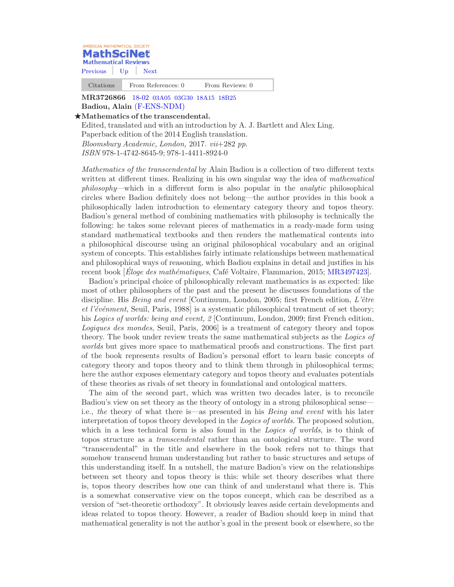

[Previous](http://mrweb.mr.ams.org/mathscinet/pdf/3752123.pdf?arg3=&co4=AND&co5=AND&co6=AND&co7=AND&dr=all&mx-pid=3726866&pg4=ICN&pg5=RVCN&pg6=CC&pg7=ALLF&pg8=ET&review_format=html&s4=Badiou&s5=&s6=&s7=&s8=All&sort=Newest&vfpref=html&yearRangeFirst=&yearRangeSecond=&yrop=eq&r=1) [Up](http://mrweb.mr.ams.org/mathscinet/search/publications.html?arg3=&co4=AND&co5=AND&co6=AND&co7=AND&dr=all&mx-pid=3726866&pg4=ICN&pg5=RVCN&pg6=CC&pg7=ALLF&pg8=ET&review_format=html&s4=Badiou&s5=&s6=&s7=&s8=All&sort=Newest&vfpref=html&yearRangeFirst=&yearRangeSecond=&yrop=eq&r=1) [Next](http://mrweb.mr.ams.org/mathscinet/pdf/3615349.pdf?arg3=&co4=AND&co5=AND&co6=AND&co7=AND&dr=all&mx-pid=3726866&pg4=ICN&pg5=RVCN&pg6=CC&pg7=ALLF&pg8=ET&review_format=html&s4=Badiou&s5=&s6=&s7=&s8=All&sort=Newest&vfpref=html&yearRangeFirst=&yearRangeSecond=&yrop=eq&r=3)

Citations From References: 0 From Reviews: 0

MR3726866 18-02 [03A05 03G30 18A15 18B25](http://mrweb.mr.ams.org/mathscinet/search/mscdoc.html?code=18%2D02%2C%2803A05%2C03G30%2C18A15%2C18B25%29) Badiou, Alain [\(F-ENS-NDM\)](http://mrweb.mr.ams.org/mathscinet/search/institution.html?code=F_ENS_NDM)

## $\star$ Mathematics of the transcendental.

Edited, translated and with an introduction by A. J. Bartlett and Alex Ling. Paperback edition of the 2014 English translation. Bloomsbury Academic, London, 2017. vii+282 pp. ISBN 978-1-4742-8645-9; 978-1-4411-8924-0

Mathematics of the transcendental by Alain Badiou is a collection of two different texts written at different times. Realizing in his own singular way the idea of *mathematical* philosophy—which in a different form is also popular in the analytic philosophical circles where Badiou definitely does not belong—the author provides in this book a philosophically laden introduction to elementary category theory and topos theory. Badiou's general method of combining mathematics with philosophy is technically the following: he takes some relevant pieces of mathematics in a ready-made form using standard mathematical textbooks and then renders the mathematical contents into a philosophical discourse using an original philosophical vocabulary and an original system of concepts. This establishes fairly intimate relationships between mathematical and philosophical ways of reasoning, which Badiou explains in detail and justifies in his recent book *[Eloge des mathématiques*, Café Voltaire, Flammarion, 2015; [MR3497423\]](http://mrweb.mr.ams.org/mathscinet/pdf/3497423.pdf).

Badiou's principal choice of philosophically relevant mathematics is as expected: like most of other philosophers of the past and the present he discusses foundations of the discipline. His Being and event [Continuum, London, 2005; first French edition, L'être et l'événment, Seuil, Paris, 1988] is a systematic philosophical treatment of set theory; his Logics of worlds: being and event, 2 [Continuum, London, 2009; first French edition, Logiques des mondes, Seuil, Paris, 2006] is a treatment of category theory and topos theory. The book under review treats the same mathematical subjects as the Logics of worlds but gives more space to mathematical proofs and constructions. The first part of the book represents results of Badiou's personal effort to learn basic concepts of category theory and topos theory and to think them through in philosophical terms; here the author exposes elementary category and topos theory and evaluates potentials of these theories as rivals of set theory in foundational and ontological matters.

The aim of the second part, which was written two decades later, is to reconcile Badiou's view on set theory as the theory of ontology in a strong philosophical sense i.e., the theory of what there is—as presented in his Being and event with his later interpretation of topos theory developed in the *Logics of worlds*. The proposed solution, which in a less technical form is also found in the *Logics of worlds*, is to think of topos structure as a transcendental rather than an ontological structure. The word "transcendental" in the title and elsewhere in the book refers not to things that somehow transcend human understanding but rather to basic structures and setups of this understanding itself. In a nutshell, the mature Badiou's view on the relationships between set theory and topos theory is this: while set theory describes what there is, topos theory describes how one can think of and understand what there is. This is a somewhat conservative view on the topos concept, which can be described as a version of "set-theoretic orthodoxy". It obviously leaves aside certain developments and ideas related to topos theory. However, a reader of Badiou should keep in mind that mathematical generality is not the author's goal in the present book or elsewhere, so the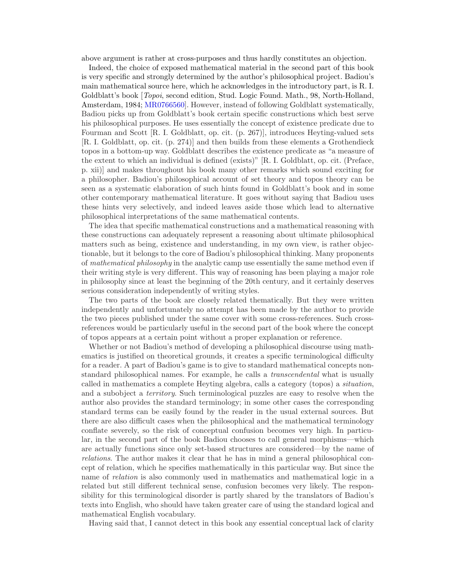above argument is rather at cross-purposes and thus hardly constitutes an objection.

Indeed, the choice of exposed mathematical material in the second part of this book is very specific and strongly determined by the author's philosophical project. Badiou's main mathematical source here, which he acknowledges in the introductory part, is R. I. Goldblatt's book *[Topoi*, second edition, Stud. Logic Found. Math., 98, North-Holland, Amsterdam, 1984; [MR0766560\]](http://mrweb.mr.ams.org/mathscinet/pdf/766560.pdf). However, instead of following Goldblatt systematically, Badiou picks up from Goldblatt's book certain specific constructions which best serve his philosophical purposes. He uses essentially the concept of existence predicate due to Fourman and Scott [R. I. Goldblatt, op. cit. (p. 267)], introduces Heyting-valued sets [R. I. Goldblatt, op. cit. (p. 274)] and then builds from these elements a Grothendieck topos in a bottom-up way. Goldblatt describes the existence predicate as "a measure of the extent to which an individual is defined (exists)" [R. I. Goldblatt, op. cit. (Preface, p. xii)] and makes throughout his book many other remarks which sound exciting for a philosopher. Badiou's philosophical account of set theory and topos theory can be seen as a systematic elaboration of such hints found in Goldblatt's book and in some other contemporary mathematical literature. It goes without saying that Badiou uses these hints very selectively, and indeed leaves aside those which lead to alternative philosophical interpretations of the same mathematical contents.

The idea that specific mathematical constructions and a mathematical reasoning with these constructions can adequately represent a reasoning about ultimate philosophical matters such as being, existence and understanding, in my own view, is rather objectionable, but it belongs to the core of Badiou's philosophical thinking. Many proponents of mathematical philosophy in the analytic camp use essentially the same method even if their writing style is very different. This way of reasoning has been playing a major role in philosophy since at least the beginning of the 20th century, and it certainly deserves serious consideration independently of writing styles.

The two parts of the book are closely related thematically. But they were written independently and unfortunately no attempt has been made by the author to provide the two pieces published under the same cover with some cross-references. Such crossreferences would be particularly useful in the second part of the book where the concept of topos appears at a certain point without a proper explanation or reference.

Whether or not Badiou's method of developing a philosophical discourse using mathematics is justified on theoretical grounds, it creates a specific terminological difficulty for a reader. A part of Badiou's game is to give to standard mathematical concepts nonstandard philosophical names. For example, he calls a transcendental what is usually called in mathematics a complete Heyting algebra, calls a category (topos) a situation, and a subobject a *territory*. Such terminological puzzles are easy to resolve when the author also provides the standard terminology; in some other cases the corresponding standard terms can be easily found by the reader in the usual external sources. But there are also difficult cases when the philosophical and the mathematical terminology conflate severely, so the risk of conceptual confusion becomes very high. In particular, in the second part of the book Badiou chooses to call general morphisms—which are actually functions since only set-based structures are considered—by the name of relations. The author makes it clear that he has in mind a general philosophical concept of relation, which he specifies mathematically in this particular way. But since the name of *relation* is also commonly used in mathematics and mathematical logic in a related but still different technical sense, confusion becomes very likely. The responsibility for this terminological disorder is partly shared by the translators of Badiou's texts into English, who should have taken greater care of using the standard logical and mathematical English vocabulary.

Having said that, I cannot detect in this book any essential conceptual lack of clarity